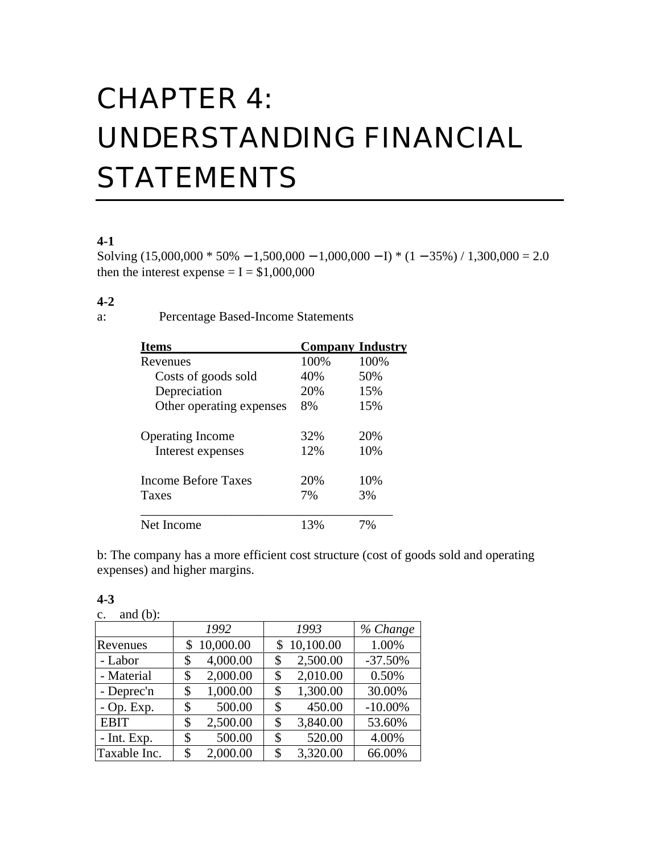# CHAPTER 4: UNDERSTANDING FINANCIAL **STATEMENTS**

# **4-1**

Solving  $(15,000,000 * 50\% - 1,500,000 - 1,000,000 - 1) * (1 - 35\%) / 1,300,000 = 2.0$ then the interest expense  $= I = $1,000,000$ 

#### **4-2**

a: Percentage Based-Income Statements

| <b>Items</b>             | <b>Company Industry</b> |      |
|--------------------------|-------------------------|------|
| Revenues                 | 100%                    | 100% |
| Costs of goods sold      | 40%                     | 50%  |
| Depreciation             | 20%                     | 15%  |
| Other operating expenses | 8%                      | 15%  |
| <b>Operating Income</b>  | 32%                     | 20%  |
| Interest expenses        | 12%                     | 10%  |
| Income Before Taxes      | 20%                     | 10%  |
| <b>Taxes</b>             | 7%                      | 3%   |
| Net Income               | 13%                     | 7%   |

b: The company has a more efficient cost structure (cost of goods sold and operating expenses) and higher margins.

| and $(b)$ :<br>$C_{\bullet}$ |                 |                 |            |
|------------------------------|-----------------|-----------------|------------|
|                              | 1992            | 1993            | % Change   |
| Revenues                     | 10,000.00<br>\$ | 10,100.00<br>\$ | 1.00%      |
| - Labor                      | 4,000.00<br>\$  | 2,500.00<br>\$  | $-37.50%$  |
| - Material                   | 2,000.00<br>\$  | 2,010.00<br>\$  | 0.50%      |
| - Deprec'n                   | 1,000.00<br>\$  | 1,300.00<br>\$  | 30.00%     |
| $-$ Op. Exp.                 | 500.00<br>\$    | 450.00<br>\$    | $-10.00\%$ |
| <b>EBIT</b>                  | 2,500.00<br>\$  | 3,840.00<br>\$  | 53.60%     |
| $-$ Int. Exp.                | 500.00<br>\$    | 520.00<br>\$    | 4.00%      |
| Taxable Inc.                 | 2,000.00<br>\$  | 3,320.00<br>\$  | 66.00%     |

## **4-3**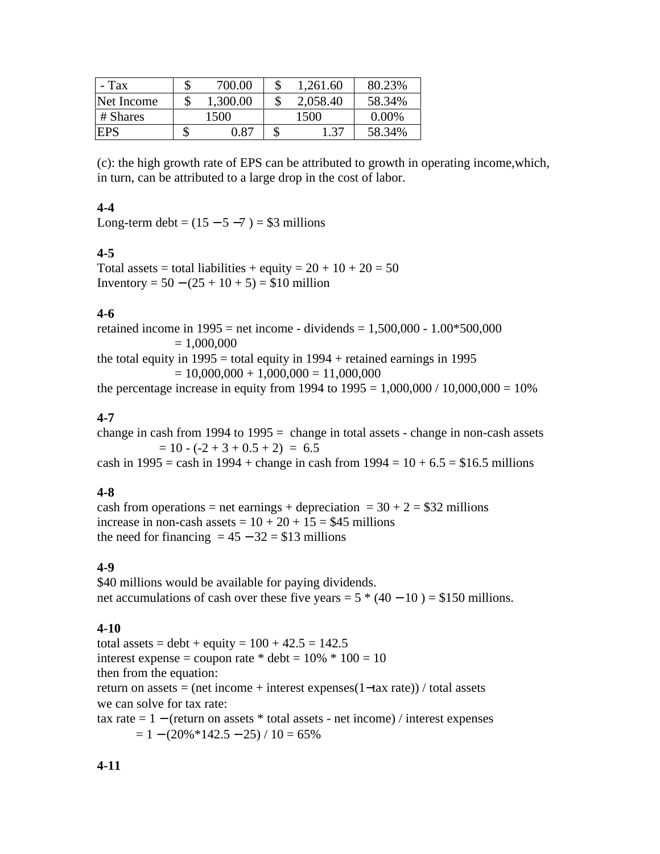| - Tax      | 700.00   |   | 1,261.60 | 80.23%   |
|------------|----------|---|----------|----------|
| Net Income | 1,300.00 | J | 2,058.40 | 58.34%   |
| # Shares   | 1500     |   | 1500     | $0.00\%$ |
| IEPS       | 0.87     |   | 1.37     | 58.34%   |

(c): the high growth rate of EPS can be attributed to growth in operating income,which, in turn, can be attributed to a large drop in the cost of labor.

## **4-4**

Long-term debt =  $(15 - 5 - 7) = $3$  millions

#### **4-5**

Total assets = total liabilities + equity =  $20 + 10 + 20 = 50$ Inventory =  $50 - (25 + 10 + 5) = $10$  million

#### **4-6**

retained income in  $1995$  = net income - dividends =  $1,500,000$  -  $1.00*500,000$  $= 1,000,000$ the total equity in  $1995$  = total equity in  $1994$  + retained earnings in 1995  $= 10,000,000 + 1,000,000 = 11,000,000$ 

# the percentage increase in equity from 1994 to  $1995 = 1,000,000 / 10,000,000 = 10%$

#### **4-7**

change in cash from 1994 to 1995 = change in total assets - change in non-cash assets  $= 10 - (-2 + 3 + 0.5 + 2) = 6.5$ 

# cash in 1995 = cash in 1994 + change in cash from  $1994 = 10 + 6.5 = $16.5$  millions

#### **4-8**

cash from operations = net earnings + depreciation =  $30 + 2 = $32$  millions increase in non-cash assets =  $10 + 20 + 15 = $45$  millions the need for financing  $= 45 - 32 = $13$  millions

# **4-9**

\$40 millions would be available for paying dividends. net accumulations of cash over these five years =  $5*(40 - 10) = $150$  millions.

# **4-10**

total assets = debt + equity =  $100 + 42.5 = 142.5$ interest expense = coupon rate  $*$  debt = 10%  $*$  100 = 10 then from the equation: return on assets = (net income + interest expenses(1−tax rate)) / total assets we can solve for tax rate: tax rate  $= 1 - ($ return on assets \* total assets - net income) / interest expenses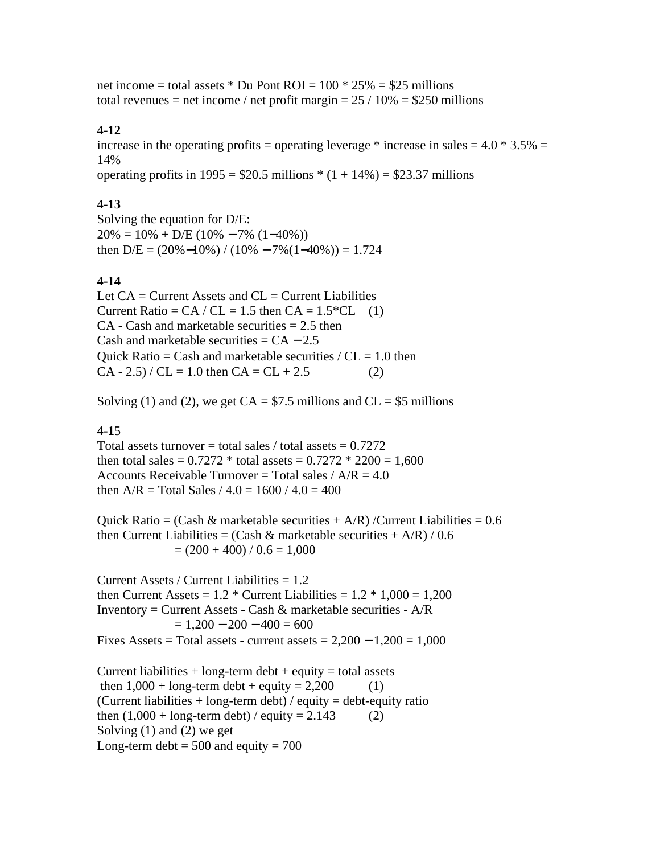net income = total assets  $*$  Du Pont ROI = 100  $*$  25% = \$25 millions total revenues = net income / net profit margin =  $25/10\%$  = \$250 millions

# **4-12**

increase in the operating profits = operating leverage  $*$  increase in sales = 4.0  $*$  3.5% = 14% operating profits in  $1995 = $20.5$  millions  $*(1 + 14\%) = $23.37$  millions

# **4-13**

Solving the equation for D/E:  $20\% = 10\% + D/E (10\% - 7\% (1-40\%))$ then  $D/E = (20\% - 10\%) / (10\% - 7\% (1-40\%)) = 1.724$ 

# **4-14**

Let  $CA = Current$  Assets and  $CL = Current$  Liabilities Current Ratio =  $CA / CL = 1.5$  then  $CA = 1.5$ <sup>\*</sup>CL (1)  $CA$  - Cash and marketable securities  $= 2.5$  then Cash and marketable securities =  $CA - 2.5$ Quick Ratio = Cash and marketable securities /  $CL = 1.0$  then  $CA - 2.5$  /  $CL = 1.0$  then  $CA = CL + 2.5$  (2)

Solving (1) and (2), we get  $CA = $7.5$  millions and  $CL = $5$  millions

# **4-1**5

Total assets turnover  $=$  total sales / total assets  $= 0.7272$ then total sales =  $0.7272$  \* total assets =  $0.7272$  \*  $2200 = 1,600$ Accounts Receivable Turnover = Total sales  $/$  A/R = 4.0 then  $A/R = Total Sales / 4.0 = 1600 / 4.0 = 400$ 

Quick Ratio = (Cash & marketable securities  $+ A/R$ ) /Current Liabilities = 0.6 then Current Liabilities = (Cash & marketable securities +  $A/R$ ) / 0.6  $= (200 + 400) / 0.6 = 1,000$ 

Current Assets / Current Liabilities = 1.2 then Current Assets =  $1.2 *$  Current Liabilities =  $1.2 * 1,000 = 1,200$ Inventory = Current Assets - Cash & marketable securities -  $A/R$  $= 1,200 - 200 - 400 = 600$ Fixes Assets = Total assets - current assets =  $2,200 - 1,200 = 1,000$ Current liabilities  $+$  long-term debt  $+$  equity  $=$  total assets then  $1,000 + \text{long-term debt} + \text{equiv} = 2,200$  (1) (Current liabilities  $+$  long-term debt) / equity = debt-equity ratio then  $(1,000 + \text{long-term debt}) / \text{equiv} = 2.143$  (2)

Solving (1) and (2) we get

Long-term debt  $= 500$  and equity  $= 700$